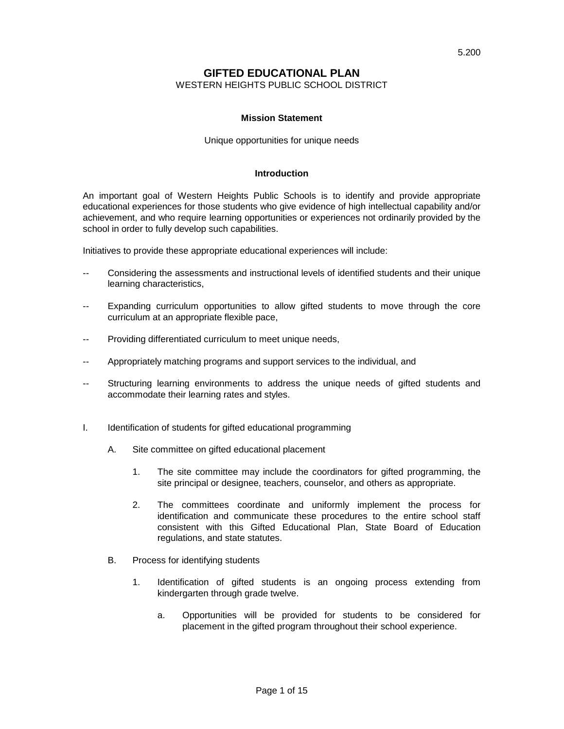## **GIFTED EDUCATIONAL PLAN**

WESTERN HEIGHTS PUBLIC SCHOOL DISTRICT

#### **Mission Statement**

#### Unique opportunities for unique needs

#### **Introduction**

An important goal of Western Heights Public Schools is to identify and provide appropriate educational experiences for those students who give evidence of high intellectual capability and/or achievement, and who require learning opportunities or experiences not ordinarily provided by the school in order to fully develop such capabilities.

Initiatives to provide these appropriate educational experiences will include:

- -- Considering the assessments and instructional levels of identified students and their unique learning characteristics,
- Expanding curriculum opportunities to allow gifted students to move through the core curriculum at an appropriate flexible pace,
- Providing differentiated curriculum to meet unique needs,
- -- Appropriately matching programs and support services to the individual, and
- -- Structuring learning environments to address the unique needs of gifted students and accommodate their learning rates and styles.
- I. Identification of students for gifted educational programming
	- A. Site committee on gifted educational placement
		- 1. The site committee may include the coordinators for gifted programming, the site principal or designee, teachers, counselor, and others as appropriate.
		- 2. The committees coordinate and uniformly implement the process for identification and communicate these procedures to the entire school staff consistent with this Gifted Educational Plan, State Board of Education regulations, and state statutes.
	- B. Process for identifying students
		- 1. Identification of gifted students is an ongoing process extending from kindergarten through grade twelve.
			- a. Opportunities will be provided for students to be considered for placement in the gifted program throughout their school experience.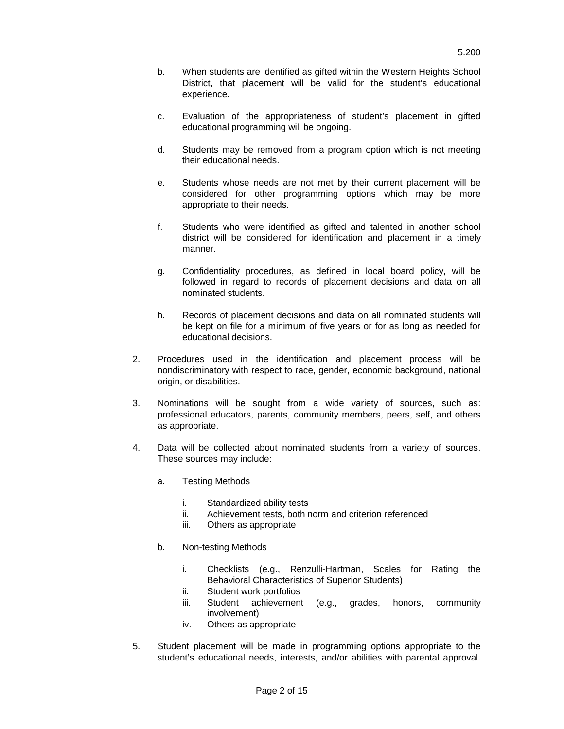- b. When students are identified as gifted within the Western Heights School District, that placement will be valid for the student's educational experience.
- c. Evaluation of the appropriateness of student's placement in gifted educational programming will be ongoing.
- d. Students may be removed from a program option which is not meeting their educational needs.
- e. Students whose needs are not met by their current placement will be considered for other programming options which may be more appropriate to their needs.
- f. Students who were identified as gifted and talented in another school district will be considered for identification and placement in a timely manner.
- g. Confidentiality procedures, as defined in local board policy, will be followed in regard to records of placement decisions and data on all nominated students.
- h. Records of placement decisions and data on all nominated students will be kept on file for a minimum of five years or for as long as needed for educational decisions.
- 2. Procedures used in the identification and placement process will be nondiscriminatory with respect to race, gender, economic background, national origin, or disabilities.
- 3. Nominations will be sought from a wide variety of sources, such as: professional educators, parents, community members, peers, self, and others as appropriate.
- 4. Data will be collected about nominated students from a variety of sources. These sources may include:
	- a. Testing Methods
		- i. Standardized ability tests
		- ii. Achievement tests, both norm and criterion referenced
		- iii. Others as appropriate
	- b. Non-testing Methods
		- i. Checklists (e.g., Renzulli-Hartman, Scales for Rating the Behavioral Characteristics of Superior Students)
		- ii. Student work portfolios
		- iii. Student achievement (e.g., grades, honors, community involvement)
		- iv. Others as appropriate
- 5. Student placement will be made in programming options appropriate to the student's educational needs, interests, and/or abilities with parental approval.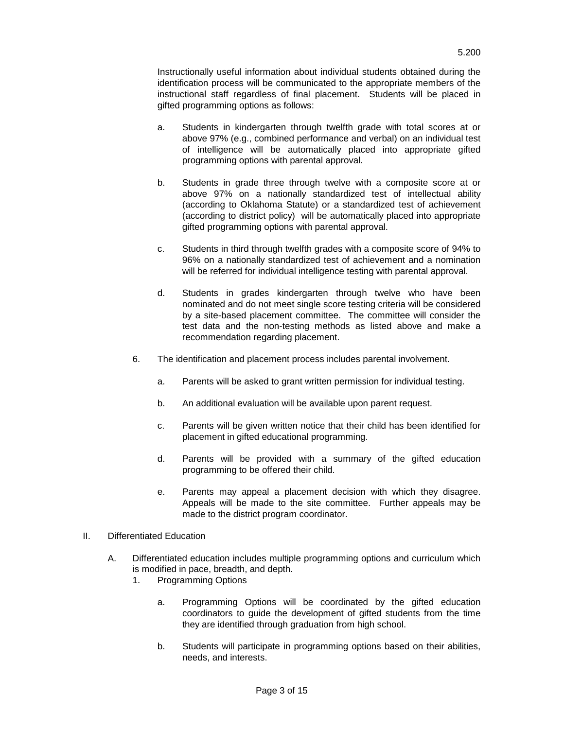Instructionally useful information about individual students obtained during the identification process will be communicated to the appropriate members of the instructional staff regardless of final placement. Students will be placed in gifted programming options as follows:

- a. Students in kindergarten through twelfth grade with total scores at or above 97% (e.g., combined performance and verbal) on an individual test of intelligence will be automatically placed into appropriate gifted programming options with parental approval.
- b. Students in grade three through twelve with a composite score at or above 97% on a nationally standardized test of intellectual ability (according to Oklahoma Statute) or a standardized test of achievement (according to district policy) will be automatically placed into appropriate gifted programming options with parental approval.
- c. Students in third through twelfth grades with a composite score of 94% to 96% on a nationally standardized test of achievement and a nomination will be referred for individual intelligence testing with parental approval.
- d. Students in grades kindergarten through twelve who have been nominated and do not meet single score testing criteria will be considered by a site-based placement committee. The committee will consider the test data and the non-testing methods as listed above and make a recommendation regarding placement.
- 6. The identification and placement process includes parental involvement.
	- a. Parents will be asked to grant written permission for individual testing.
	- b. An additional evaluation will be available upon parent request.
	- c. Parents will be given written notice that their child has been identified for placement in gifted educational programming.
	- d. Parents will be provided with a summary of the gifted education programming to be offered their child.
	- e. Parents may appeal a placement decision with which they disagree. Appeals will be made to the site committee. Further appeals may be made to the district program coordinator.
- II. Differentiated Education
	- A. Differentiated education includes multiple programming options and curriculum which is modified in pace, breadth, and depth.
		- 1. Programming Options
			- a. Programming Options will be coordinated by the gifted education coordinators to guide the development of gifted students from the time they are identified through graduation from high school.
			- b. Students will participate in programming options based on their abilities, needs, and interests.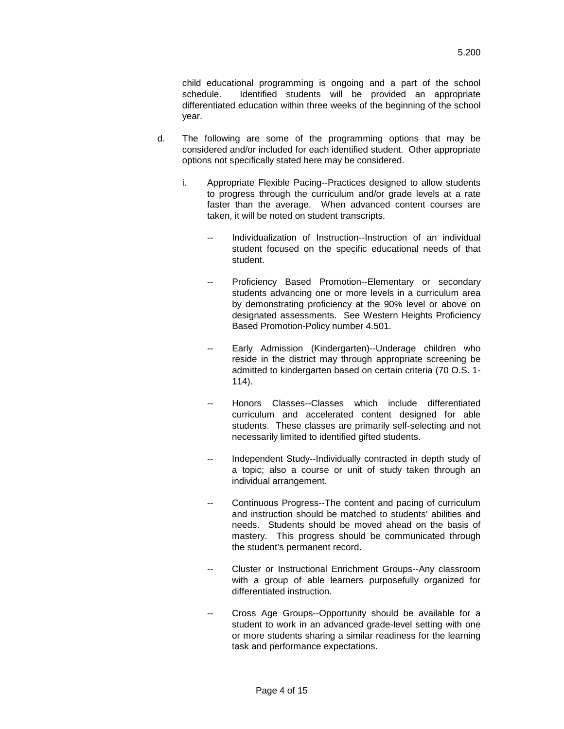child educational programming is ongoing and a part of the school schedule. Identified students will be provided an appropriate differentiated education within three weeks of the beginning of the school year.

- d. The following are some of the programming options that may be considered and/or included for each identified student. Other appropriate options not specifically stated here may be considered.
	- i. Appropriate Flexible Pacing--Practices designed to allow students to progress through the curriculum and/or grade levels at a rate faster than the average. When advanced content courses are taken, it will be noted on student transcripts.
		- -- Individualization of Instruction--Instruction of an individual student focused on the specific educational needs of that student.
		- -- Proficiency Based Promotion--Elementary or secondary students advancing one or more levels in a curriculum area by demonstrating proficiency at the 90% level or above on designated assessments. See Western Heights Proficiency Based Promotion-Policy number 4.501.
		- -- Early Admission (Kindergarten)--Underage children who reside in the district may through appropriate screening be admitted to kindergarten based on certain criteria (70 O.S. 1- 114).
		- -- Honors Classes--Classes which include differentiated curriculum and accelerated content designed for able students. These classes are primarily self-selecting and not necessarily limited to identified gifted students.
		- -- Independent Study--Individually contracted in depth study of a topic; also a course or unit of study taken through an individual arrangement.
		- -- Continuous Progress--The content and pacing of curriculum and instruction should be matched to students' abilities and needs. Students should be moved ahead on the basis of mastery. This progress should be communicated through the student's permanent record.
		- Cluster or Instructional Enrichment Groups--Any classroom with a group of able learners purposefully organized for differentiated instruction.
		- Cross Age Groups--Opportunity should be available for a student to work in an advanced grade-level setting with one or more students sharing a similar readiness for the learning task and performance expectations.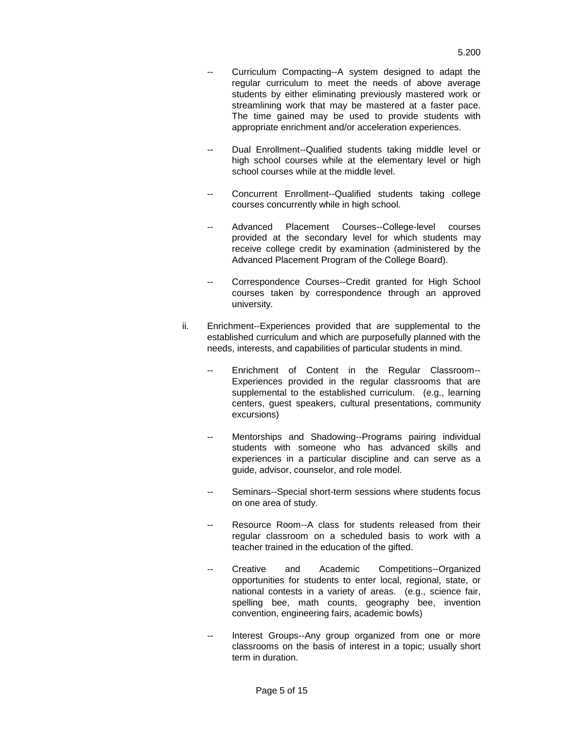- Curriculum Compacting--A system designed to adapt the regular curriculum to meet the needs of above average students by either eliminating previously mastered work or streamlining work that may be mastered at a faster pace. The time gained may be used to provide students with appropriate enrichment and/or acceleration experiences.
- -- Dual Enrollment--Qualified students taking middle level or high school courses while at the elementary level or high school courses while at the middle level.
- Concurrent Enrollment--Qualified students taking college courses concurrently while in high school.
- Advanced Placement Courses--College-level courses provided at the secondary level for which students may receive college credit by examination (administered by the Advanced Placement Program of the College Board).
- Correspondence Courses--Credit granted for High School courses taken by correspondence through an approved university.
- ii. Enrichment--Experiences provided that are supplemental to the established curriculum and which are purposefully planned with the needs, interests, and capabilities of particular students in mind.
	- Enrichment of Content in the Regular Classroom--Experiences provided in the regular classrooms that are supplemental to the established curriculum. (e.g., learning centers, guest speakers, cultural presentations, community excursions)
	- -- Mentorships and Shadowing--Programs pairing individual students with someone who has advanced skills and experiences in a particular discipline and can serve as a guide, advisor, counselor, and role model.
	- -- Seminars--Special short-term sessions where students focus on one area of study.
	- Resource Room--A class for students released from their regular classroom on a scheduled basis to work with a teacher trained in the education of the gifted.
	- Creative and Academic Competitions--Organized opportunities for students to enter local, regional, state, or national contests in a variety of areas. (e.g., science fair, spelling bee, math counts, geography bee, invention convention, engineering fairs, academic bowls)
	- -- Interest Groups--Any group organized from one or more classrooms on the basis of interest in a topic; usually short term in duration.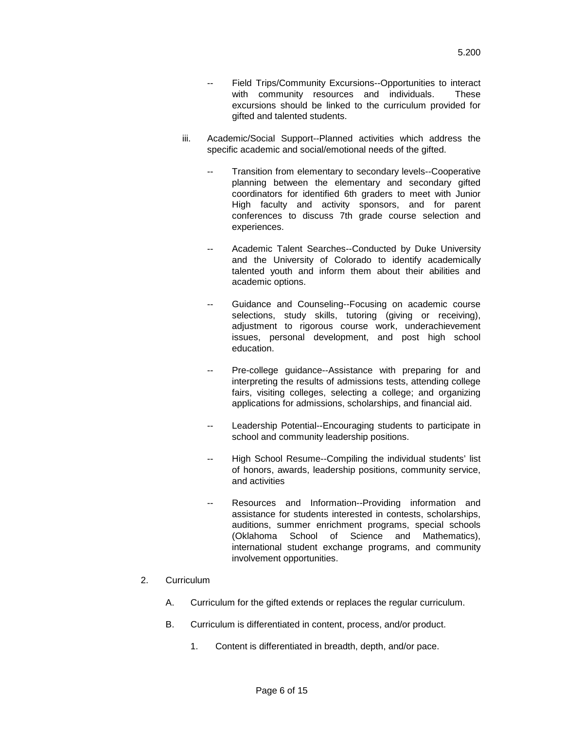- Field Trips/Community Excursions--Opportunities to interact with community resources and individuals. These excursions should be linked to the curriculum provided for gifted and talented students.
- iii. Academic/Social Support--Planned activities which address the specific academic and social/emotional needs of the gifted.
	- -- Transition from elementary to secondary levels--Cooperative planning between the elementary and secondary gifted coordinators for identified 6th graders to meet with Junior High faculty and activity sponsors, and for parent conferences to discuss 7th grade course selection and experiences.
	- -- Academic Talent Searches--Conducted by Duke University and the University of Colorado to identify academically talented youth and inform them about their abilities and academic options.
	- Guidance and Counseling--Focusing on academic course selections, study skills, tutoring (giving or receiving), adjustment to rigorous course work, underachievement issues, personal development, and post high school education.
	- -- Pre-college guidance--Assistance with preparing for and interpreting the results of admissions tests, attending college fairs, visiting colleges, selecting a college; and organizing applications for admissions, scholarships, and financial aid.
	- Leadership Potential--Encouraging students to participate in school and community leadership positions.
	- -- High School Resume--Compiling the individual students' list of honors, awards, leadership positions, community service, and activities
	- -- Resources and Information--Providing information and assistance for students interested in contests, scholarships, auditions, summer enrichment programs, special schools (Oklahoma School of Science and Mathematics), international student exchange programs, and community involvement opportunities.
- 2. Curriculum
	- A. Curriculum for the gifted extends or replaces the regular curriculum.
	- B. Curriculum is differentiated in content, process, and/or product.
		- 1. Content is differentiated in breadth, depth, and/or pace.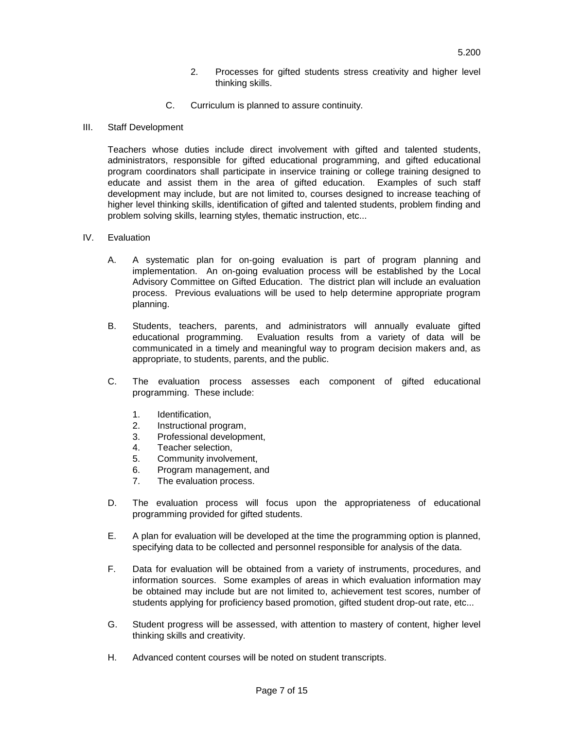- 2. Processes for gifted students stress creativity and higher level thinking skills.
- C. Curriculum is planned to assure continuity.
- III. Staff Development

Teachers whose duties include direct involvement with gifted and talented students, administrators, responsible for gifted educational programming, and gifted educational program coordinators shall participate in inservice training or college training designed to educate and assist them in the area of gifted education. Examples of such staff development may include, but are not limited to, courses designed to increase teaching of higher level thinking skills, identification of gifted and talented students, problem finding and problem solving skills, learning styles, thematic instruction, etc...

- IV. Evaluation
	- A. A systematic plan for on-going evaluation is part of program planning and implementation. An on-going evaluation process will be established by the Local Advisory Committee on Gifted Education. The district plan will include an evaluation process. Previous evaluations will be used to help determine appropriate program planning.
	- B. Students, teachers, parents, and administrators will annually evaluate gifted educational programming. Evaluation results from a variety of data will be communicated in a timely and meaningful way to program decision makers and, as appropriate, to students, parents, and the public.
	- C. The evaluation process assesses each component of gifted educational programming. These include:
		- 1. Identification,
		- 2. Instructional program,
		- 3. Professional development,
		- 4. Teacher selection,
		- 5. Community involvement,
		- 6. Program management, and<br>7. The evaluation process.
		- The evaluation process.
	- D. The evaluation process will focus upon the appropriateness of educational programming provided for gifted students.
	- E. A plan for evaluation will be developed at the time the programming option is planned, specifying data to be collected and personnel responsible for analysis of the data.
	- F. Data for evaluation will be obtained from a variety of instruments, procedures, and information sources. Some examples of areas in which evaluation information may be obtained may include but are not limited to, achievement test scores, number of students applying for proficiency based promotion, gifted student drop-out rate, etc...
	- G. Student progress will be assessed, with attention to mastery of content, higher level thinking skills and creativity.
	- H. Advanced content courses will be noted on student transcripts.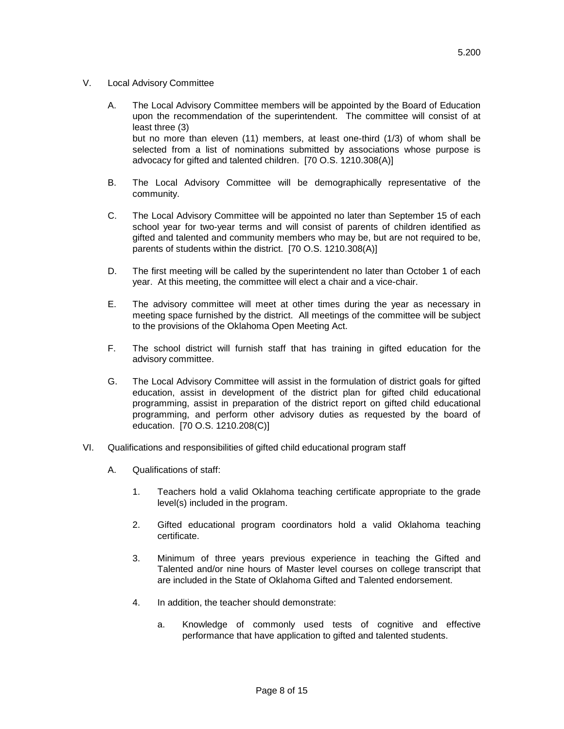- V. Local Advisory Committee
	- A. The Local Advisory Committee members will be appointed by the Board of Education upon the recommendation of the superintendent. The committee will consist of at least three (3) but no more than eleven (11) members, at least one-third (1/3) of whom shall be selected from a list of nominations submitted by associations whose purpose is
	- B. The Local Advisory Committee will be demographically representative of the community.

advocacy for gifted and talented children. [70 O.S. 1210.308(A)]

- C. The Local Advisory Committee will be appointed no later than September 15 of each school year for two-year terms and will consist of parents of children identified as gifted and talented and community members who may be, but are not required to be, parents of students within the district. [70 O.S. 1210.308(A)]
- D. The first meeting will be called by the superintendent no later than October 1 of each year. At this meeting, the committee will elect a chair and a vice-chair.
- E. The advisory committee will meet at other times during the year as necessary in meeting space furnished by the district. All meetings of the committee will be subject to the provisions of the Oklahoma Open Meeting Act.
- F. The school district will furnish staff that has training in gifted education for the advisory committee.
- G. The Local Advisory Committee will assist in the formulation of district goals for gifted education, assist in development of the district plan for gifted child educational programming, assist in preparation of the district report on gifted child educational programming, and perform other advisory duties as requested by the board of education. [70 O.S. 1210.208(C)]
- VI. Qualifications and responsibilities of gifted child educational program staff
	- A. Qualifications of staff:
		- 1. Teachers hold a valid Oklahoma teaching certificate appropriate to the grade level(s) included in the program.
		- 2. Gifted educational program coordinators hold a valid Oklahoma teaching certificate.
		- 3. Minimum of three years previous experience in teaching the Gifted and Talented and/or nine hours of Master level courses on college transcript that are included in the State of Oklahoma Gifted and Talented endorsement.
		- 4. In addition, the teacher should demonstrate:
			- a. Knowledge of commonly used tests of cognitive and effective performance that have application to gifted and talented students.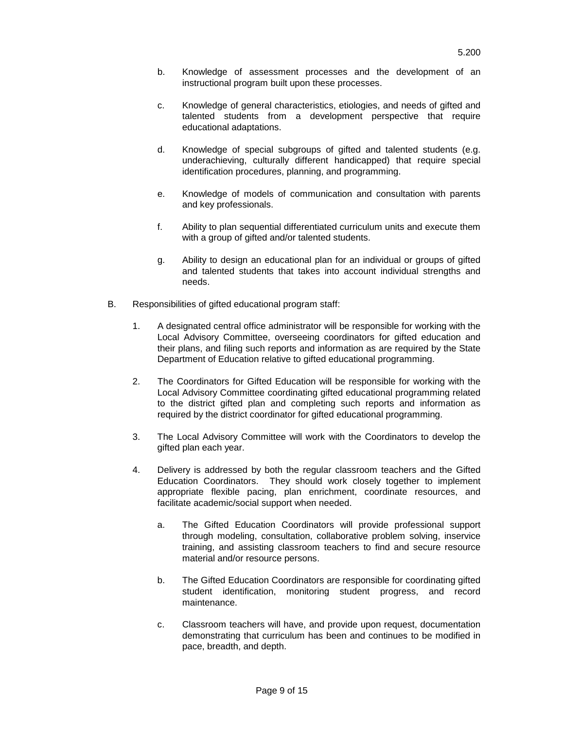- b. Knowledge of assessment processes and the development of an instructional program built upon these processes.
- c. Knowledge of general characteristics, etiologies, and needs of gifted and talented students from a development perspective that require educational adaptations.
- d. Knowledge of special subgroups of gifted and talented students (e.g. underachieving, culturally different handicapped) that require special identification procedures, planning, and programming.
- e. Knowledge of models of communication and consultation with parents and key professionals.
- f. Ability to plan sequential differentiated curriculum units and execute them with a group of gifted and/or talented students.
- g. Ability to design an educational plan for an individual or groups of gifted and talented students that takes into account individual strengths and needs.
- B. Responsibilities of gifted educational program staff:
	- 1. A designated central office administrator will be responsible for working with the Local Advisory Committee, overseeing coordinators for gifted education and their plans, and filing such reports and information as are required by the State Department of Education relative to gifted educational programming.
	- 2. The Coordinators for Gifted Education will be responsible for working with the Local Advisory Committee coordinating gifted educational programming related to the district gifted plan and completing such reports and information as required by the district coordinator for gifted educational programming.
	- 3. The Local Advisory Committee will work with the Coordinators to develop the gifted plan each year.
	- 4. Delivery is addressed by both the regular classroom teachers and the Gifted Education Coordinators. They should work closely together to implement appropriate flexible pacing, plan enrichment, coordinate resources, and facilitate academic/social support when needed.
		- a. The Gifted Education Coordinators will provide professional support through modeling, consultation, collaborative problem solving, inservice training, and assisting classroom teachers to find and secure resource material and/or resource persons.
		- b. The Gifted Education Coordinators are responsible for coordinating gifted student identification, monitoring student progress, and record maintenance.
		- c. Classroom teachers will have, and provide upon request, documentation demonstrating that curriculum has been and continues to be modified in pace, breadth, and depth.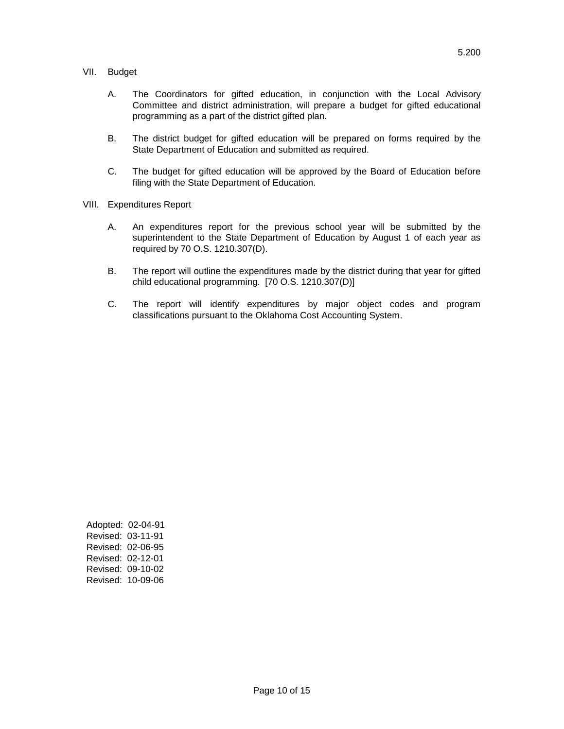#### VII. Budget

- A. The Coordinators for gifted education, in conjunction with the Local Advisory Committee and district administration, will prepare a budget for gifted educational programming as a part of the district gifted plan.
- B. The district budget for gifted education will be prepared on forms required by the State Department of Education and submitted as required.
- C. The budget for gifted education will be approved by the Board of Education before filing with the State Department of Education.
- VIII. Expenditures Report
	- A. An expenditures report for the previous school year will be submitted by the superintendent to the State Department of Education by August 1 of each year as required by 70 O.S. 1210.307(D).
	- B. The report will outline the expenditures made by the district during that year for gifted child educational programming. [70 O.S. 1210.307(D)]
	- C. The report will identify expenditures by major object codes and program classifications pursuant to the Oklahoma Cost Accounting System.

Adopted: 02-04-91 Revised: 03-11-91 Revised: 02-06-95 Revised: 02-12-01 Revised: 09-10-02 Revised: 10-09-06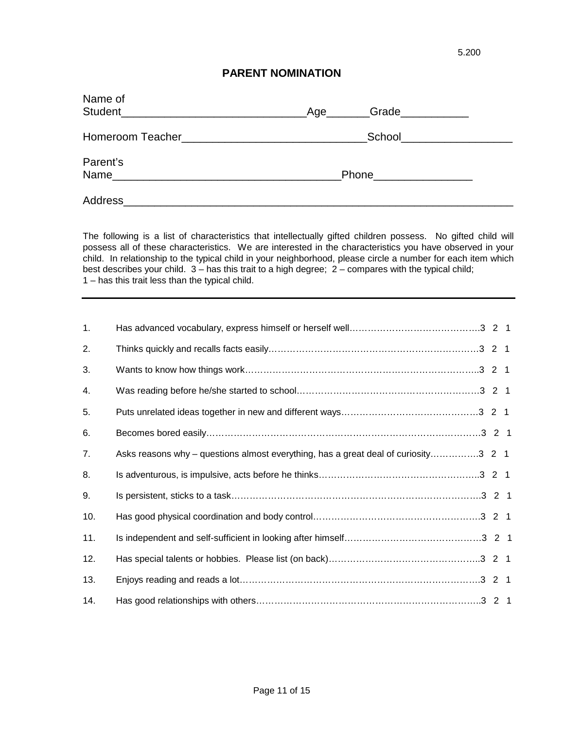## **PARENT NOMINATION**

| Name of  | Grade<br>_Age________      |
|----------|----------------------------|
|          | School____________________ |
| Parent's | Phone___________________   |
| Address  |                            |

The following is a list of characteristics that intellectually gifted children possess. No gifted child will possess all of these characteristics. We are interested in the characteristics you have observed in your child. In relationship to the typical child in your neighborhood, please circle a number for each item which best describes your child. 3 – has this trait to a high degree; 2 – compares with the typical child; 1 – has this trait less than the typical child.

| 1.  |                                                                                    |  |
|-----|------------------------------------------------------------------------------------|--|
| 2.  |                                                                                    |  |
| 3.  |                                                                                    |  |
| 4.  |                                                                                    |  |
| 5.  |                                                                                    |  |
| 6.  |                                                                                    |  |
| 7.  | Asks reasons why – questions almost everything, has a great deal of curiosity3 2 1 |  |
| 8.  |                                                                                    |  |
| 9.  |                                                                                    |  |
| 10. |                                                                                    |  |
| 11. |                                                                                    |  |
| 12. |                                                                                    |  |
| 13. |                                                                                    |  |
| 14. |                                                                                    |  |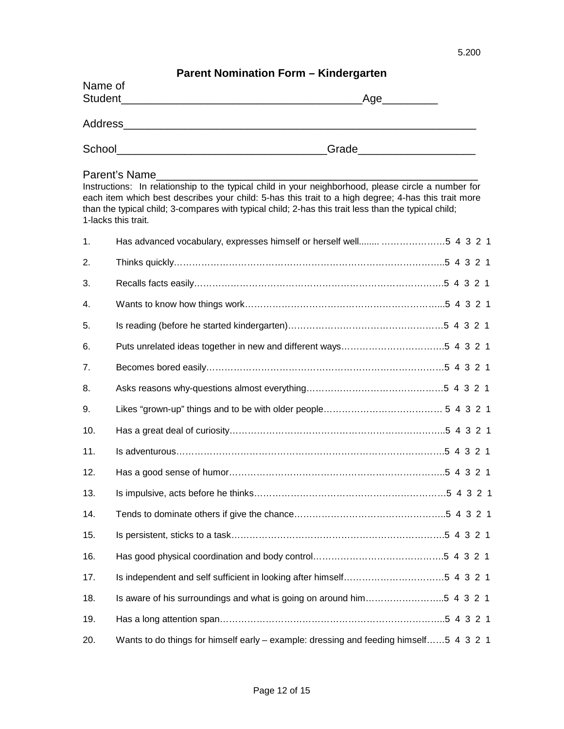# **Parent Nomination Form – Kindergarten**

| Name of<br>Student | $\sim$ and $\sim$ and $\sim$ and $\sim$ and $\sim$ and $\sim$ and $\sim$ and $\sim$ and $\sim$ and $\sim$ and $\sim$ and $\sim$ and $\sim$ and $\sim$ and $\sim$ and $\sim$ and $\sim$ and $\sim$ and $\sim$ and $\sim$ and $\sim$ and $\sim$ and $\sim$ and $\sim$ and $\sim$<br>Age_ |
|--------------------|----------------------------------------------------------------------------------------------------------------------------------------------------------------------------------------------------------------------------------------------------------------------------------------|
| Address            |                                                                                                                                                                                                                                                                                        |
| School             | Grade                                                                                                                                                                                                                                                                                  |

### Parent's Name\_\_

Instructions: In relationship to the typical child in your neighborhood, please circle a number for each item which best describes your child: 5-has this trait to a high degree; 4-has this trait more than the typical child; 3-compares with typical child; 2-has this trait less than the typical child; 1-lacks this trait.

| 1.  |                                                                                       |  |  |
|-----|---------------------------------------------------------------------------------------|--|--|
| 2.  |                                                                                       |  |  |
| 3.  |                                                                                       |  |  |
| 4.  |                                                                                       |  |  |
| 5.  |                                                                                       |  |  |
| 6.  |                                                                                       |  |  |
| 7.  |                                                                                       |  |  |
| 8.  |                                                                                       |  |  |
| 9.  |                                                                                       |  |  |
| 10. |                                                                                       |  |  |
| 11. |                                                                                       |  |  |
| 12. |                                                                                       |  |  |
| 13. |                                                                                       |  |  |
| 14. |                                                                                       |  |  |
| 15. |                                                                                       |  |  |
| 16. |                                                                                       |  |  |
| 17. |                                                                                       |  |  |
| 18. | Is aware of his surroundings and what is going on around him5 4 3 2 1                 |  |  |
| 19. |                                                                                       |  |  |
| 20. | Wants to do things for himself early – example: dressing and feeding himself5 4 3 2 1 |  |  |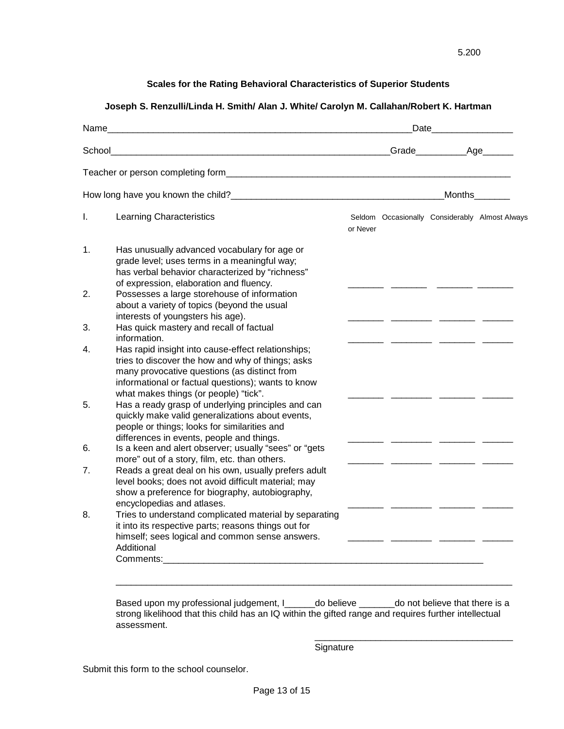### **Scales for the Rating Behavioral Characteristics of Superior Students**

### **Joseph S. Renzulli/Linda H. Smith/ Alan J. White/ Carolyn M. Callahan/Robert K. Hartman**

|    |                                                                                                                                                                                                                                              |          |  |                                                | Months |  |  |
|----|----------------------------------------------------------------------------------------------------------------------------------------------------------------------------------------------------------------------------------------------|----------|--|------------------------------------------------|--------|--|--|
| I. | Learning Characteristics                                                                                                                                                                                                                     | or Never |  | Seldom Occasionally Considerably Almost Always |        |  |  |
| 1. | Has unusually advanced vocabulary for age or<br>grade level; uses terms in a meaningful way;<br>has verbal behavior characterized by "richness"<br>of expression, elaboration and fluency.                                                   |          |  |                                                |        |  |  |
| 2. | Possesses a large storehouse of information<br>about a variety of topics (beyond the usual<br>interests of youngsters his age).                                                                                                              |          |  |                                                |        |  |  |
| 3. | Has quick mastery and recall of factual<br>information.                                                                                                                                                                                      |          |  |                                                |        |  |  |
| 4. | Has rapid insight into cause-effect relationships;<br>tries to discover the how and why of things; asks<br>many provocative questions (as distinct from<br>informational or factual questions); wants to know                                |          |  |                                                |        |  |  |
| 5. | what makes things (or people) "tick".<br>Has a ready grasp of underlying principles and can<br>quickly make valid generalizations about events,<br>people or things; looks for similarities and<br>differences in events, people and things. |          |  |                                                |        |  |  |
| 6. | Is a keen and alert observer; usually "sees" or "gets<br>more" out of a story, film, etc. than others.                                                                                                                                       |          |  |                                                |        |  |  |
| 7. | Reads a great deal on his own, usually prefers adult<br>level books; does not avoid difficult material; may<br>show a preference for biography, autobiography,<br>encyclopedias and atlases.                                                 |          |  |                                                |        |  |  |
| 8. | Tries to understand complicated material by separating<br>it into its respective parts; reasons things out for<br>himself; sees logical and common sense answers.<br>Additional<br>Comments:                                                 |          |  |                                                |        |  |  |

Based upon my professional judgement, I\_\_\_\_\_\_do believe \_\_\_\_\_\_\_do not believe that there is a strong likelihood that this child has an IQ within the gifted range and requires further intellectual assessment.

**Signature** 

\_\_\_\_\_\_\_\_\_\_\_\_\_\_\_\_\_\_\_\_\_\_\_\_\_\_\_\_\_\_\_\_\_\_\_\_\_\_\_

Submit this form to the school counselor.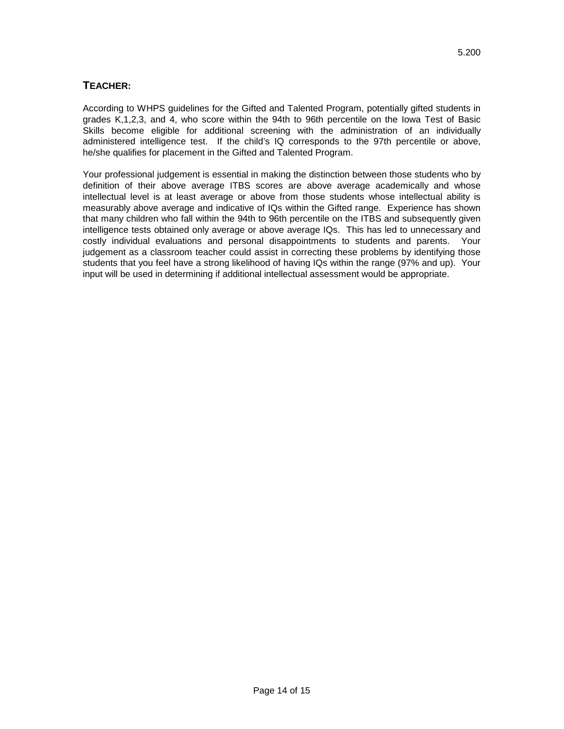## **TEACHER:**

According to WHPS guidelines for the Gifted and Talented Program, potentially gifted students in grades K,1,2,3, and 4, who score within the 94th to 96th percentile on the Iowa Test of Basic Skills become eligible for additional screening with the administration of an individually administered intelligence test. If the child's IQ corresponds to the 97th percentile or above, he/she qualifies for placement in the Gifted and Talented Program.

Your professional judgement is essential in making the distinction between those students who by definition of their above average ITBS scores are above average academically and whose intellectual level is at least average or above from those students whose intellectual ability is measurably above average and indicative of IQs within the Gifted range. Experience has shown that many children who fall within the 94th to 96th percentile on the ITBS and subsequently given intelligence tests obtained only average or above average IQs. This has led to unnecessary and costly individual evaluations and personal disappointments to students and parents. Your judgement as a classroom teacher could assist in correcting these problems by identifying those students that you feel have a strong likelihood of having IQs within the range (97% and up). Your input will be used in determining if additional intellectual assessment would be appropriate.